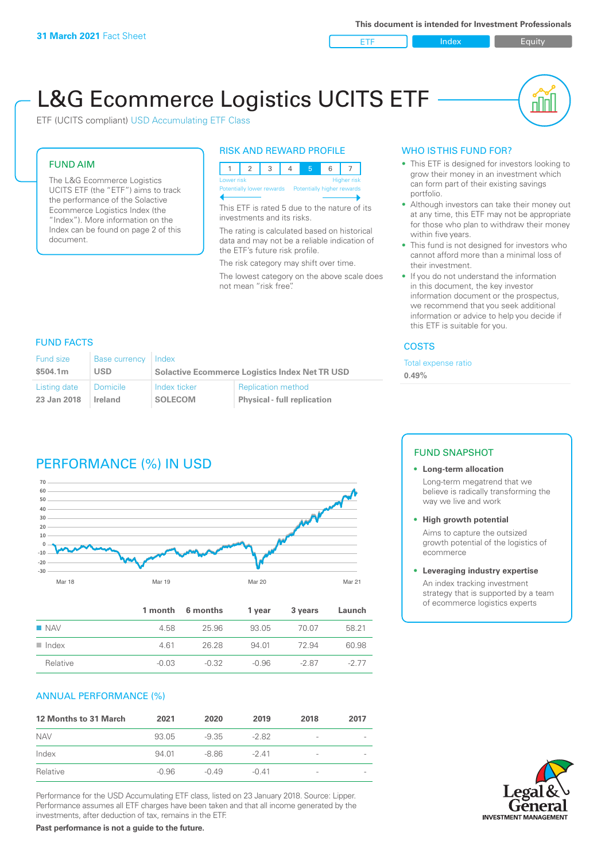ETF Index Buity

nN

# L&G Ecommerce Logistics UCITS ETF

ETF (UCITS compliant) USD Accumulating ETF Class

# FUND AIM

The L&G Ecommerce Logistics UCITS ETF (the "ETF") aims to track the performance of the Solactive Ecommerce Logistics Index (the "Index"). More information on the Index can be found on page 2 of this document.

### RISK AND REWARD PROFILE



This ETF is rated 5 due to the nature of its investments and its risks.

The rating is calculated based on historical data and may not be a reliable indication of the ETF's future risk profile.

The risk category may shift over time.

The lowest category on the above scale does not mean "risk free".

## WHO IS THIS FUND FOR?

- This ETF is designed for investors looking to grow their money in an investment which can form part of their existing savings portfolio.
- Although investors can take their money out at any time, this ETF may not be appropriate for those who plan to withdraw their money within five years.
- This fund is not designed for investors who cannot afford more than a minimal loss of their investment.
- If you do not understand the information in this document, the key investor information document or the prospectus, we recommend that you seek additional information or advice to help you decide if this ETF is suitable for you.

#### **COSTS**

Total expense ratio

**0.49%**

# FUND FACTS

| Fund size    | <b>Base currency</b> | Index                                                 |                                    |  |
|--------------|----------------------|-------------------------------------------------------|------------------------------------|--|
| \$504.1m     | USD                  | <b>Solactive Ecommerce Logistics Index Net TR USD</b> |                                    |  |
| Listing date | ∣ Domicile           | Index ticker                                          | <b>Replication method</b>          |  |
| 23 Jan 2018  | Ireland              | <b>SOLECOM</b>                                        | <b>Physical - full replication</b> |  |

# PERFORMANCE (%) IN USD



|                      |         | 1 month 6 months | 1 year  | 3 years | Launch |
|----------------------|---------|------------------|---------|---------|--------|
| $\blacksquare$ NAV   | 4.58    | 25.96            | 93.05   | 70.07   | 58.21  |
| $\blacksquare$ Index | 461     | 26.28            | 94 01   | 72.94   | 60.98  |
| Relative             | $-0.03$ | $-0.32$          | $-0.96$ | $-287$  | $-277$ |

#### ANNUAL PERFORMANCE (%)

| <b>12 Months to 31 March</b> | 2021    | 2020    | 2019    | 2018                     | 2017 |
|------------------------------|---------|---------|---------|--------------------------|------|
| <b>NAV</b>                   | 93.05   | -9.35   | $-282$  | $\overline{\phantom{a}}$ |      |
| Index                        | 94.01   | -8.86   | $-241$  | $\overline{\phantom{a}}$ |      |
| Relative                     | $-0.96$ | $-0.49$ | $-0.41$ | $\overline{\phantom{a}}$ |      |

Performance for the USD Accumulating ETF class, listed on 23 January 2018. Source: Lipper. Performance assumes all ETF charges have been taken and that all income generated by the investments, after deduction of tax, remains in the ETF.

#### FUND SNAPSHOT

#### **• Long-term allocation** Long-term megatrend that we believe is radically transforming the way we live and work

**• High growth potential**

Aims to capture the outsized growth potential of the logistics of ecommerce

#### **• Leveraging industry expertise**

An index tracking investment strategy that is supported by a team of ecommerce logistics experts



**Past performance is not a guide to the future.**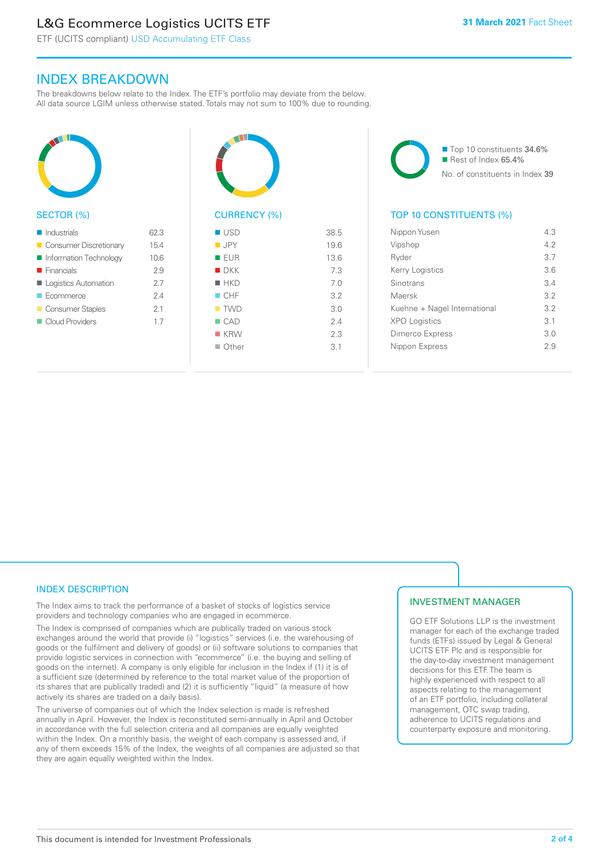# L&G Ecommerce Logistics UCITS ETF

ETF (UCITS compliant) USD Accumulating ETF Class

# INDEX BREAKDOWN

The breakdowns below relate to the Index. The ETF's portfolio may deviate from the below. All data source LGIM unless otherwise stated. Totals may not sum to 100% due to rounding.



#### SECTOR (%)

| $\blacksquare$ Industrials | 62.3 |
|----------------------------|------|
| Consumer Discretionary     | 15.4 |
| Information Technology     | 10.6 |
| $\blacksquare$ Financials  | 2.9  |
| Logistics Automation       | 27   |
| $\blacksquare$ Ecommerce   | 24   |
| Consumer Staples           | 21   |
| Cloud Providers            | 1.7  |
|                            |      |



# CURRENCY (%)

| $\blacksquare$ USD | 38.5 |
|--------------------|------|
| <b>JPY</b>         | 19.6 |
| <b>EUR</b>         | 13.6 |
| $\blacksquare$ DKK | 7.3  |
| $H$ HKD            | 7.0  |
| CHF                | 3.2  |
| $\blacksquare$ TWD | 3.0  |
| $\Box$ CAD         | 2.4  |
| $K$ KRW            | 2.3  |
| $\Box$ Other       | 3.1  |
|                    |      |

■ Top 10 constituents 34.6%  $\blacksquare$  Rest of Index 65.4% No. of constituents in Index 39

# TOP 10 CONSTITUENTS (%)

| Nippon Yusen                 | 43  |
|------------------------------|-----|
| Vipshop                      | 42  |
| Ryder                        | 37  |
| Kerry Logistics              | 36  |
| Sinotrans                    | 34  |
| Maersk                       | 32  |
| Kuehne + Nagel International | 3.2 |
| <b>XPO Logistics</b>         | 3.1 |
| Dimerco Express              | 3 O |
| Nippon Express               | 29  |
|                              |     |

# INDEX DESCRIPTION

The Index aims to track the performance of a basket of stocks of logistics service providers and technology companies who are engaged in ecommerce.

The Index is comprised of companies which are publically traded on various stock exchanges around the world that provide (i) "logistics" services (i.e. the warehousing of goods or the fulfilment and delivery of goods) or (ii) software solutions to companies that provide logistic services in connection with "ecommerce" (i.e. the buying and selling of goods on the internet). A company is only eligible for inclusion in the Index if (1) it is of a sufficient size (determined by reference to the total market value of the proportion of its shares that are publically traded) and (2) it is sufficiently "liquid" (a measure of how actively its shares are traded on a daily basis).

The universe of companies out of which the Index selection is made is refreshed annually in April. However, the Index is reconstituted semi-annually in April and October in accordance with the full selection criteria and all companies are equally weighted within the Index. On a monthly basis, the weight of each company is assessed and, if any of them exceeds 15% of the Index, the weights of all companies are adjusted so that they are again equally weighted within the Index.

## INVESTMENT MANAGER

GO ETF Solutions LLP is the investment manager for each of the exchange traded funds (ETFs) issued by Legal & General UCITS ETF Plc and is responsible for the day-to-day investment management decisions for this ETF. The team is highly experienced with respect to all aspects relating to the management of an ETF portfolio, including collateral management, OTC swap trading, adherence to UCITS regulations and counterparty exposure and monitoring.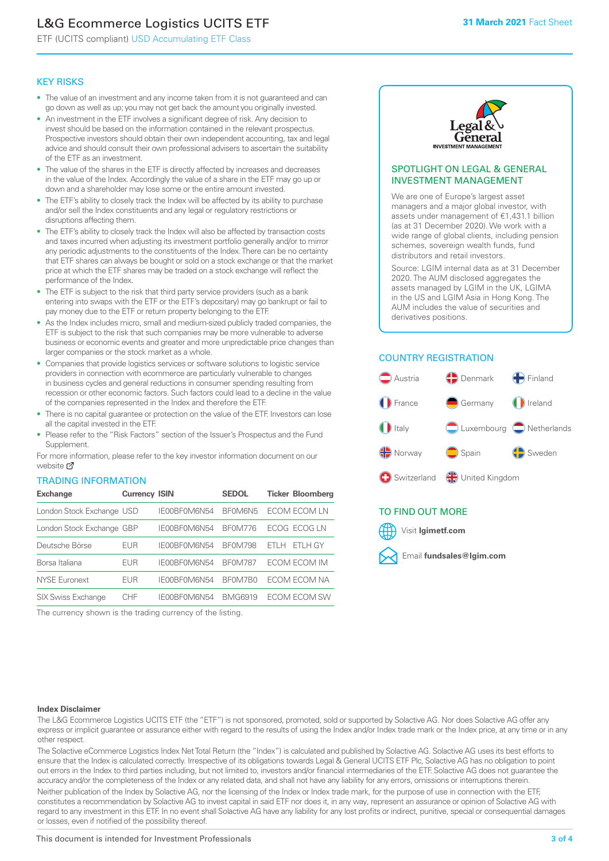# L&G Ecommerce Logistics UCITS ETF

ETF (UCITS compliant) USD Accumulating ETF Class

#### KEY RISKS

- The value of an investment and any income taken from it is not guaranteed and can go down as well as up; you may not get back the amount you originally invested.
- An investment in the ETF involves a significant degree of risk. Any decision to invest should be based on the information contained in the relevant prospectus. Prospective investors should obtain their own independent accounting, tax and legal advice and should consult their own professional advisers to ascertain the suitability of the ETF as an investment.
- The value of the shares in the ETF is directly affected by increases and decreases in the value of the Index. Accordingly the value of a share in the ETF may go up or down and a shareholder may lose some or the entire amount invested.
- The ETF's ability to closely track the Index will be affected by its ability to purchase and/or sell the Index constituents and any legal or regulatory restrictions or disruptions affecting them.
- The ETF's ability to closely track the Index will also be affected by transaction costs and taxes incurred when adjusting its investment portfolio generally and/or to mirror any periodic adjustments to the constituents of the Index. There can be no certainty that ETF shares can always be bought or sold on a stock exchange or that the market price at which the ETF shares may be traded on a stock exchange will reflect the performance of the Index.
- The ETF is subject to the risk that third party service providers (such as a bank entering into swaps with the ETF or the ETF's depositary) may go bankrupt or fail to pay money due to the ETF or return property belonging to the ETF.
- As the Index includes micro, small and medium-sized publicly traded companies, the ETF is subject to the risk that such companies may be more vulnerable to adverse business or economic events and greater and more unpredictable price changes than larger companies or the stock market as a whole.
- Companies that provide logistics services or software solutions to logistic service providers in connection with ecommerce are particularly vulnerable to changes in business cycles and general reductions in consumer spending resulting from recession or other economic factors. Such factors could lead to a decline in the value of the companies represented in the Index and therefore the ETF.
- There is no capital guarantee or protection on the value of the ETF. Investors can lose all the capital invested in the ETF.
- Please refer to the "Risk Factors" section of the Issuer's Prospectus and the Fund **Supplement**

For mo[re inf](https://www.lgimetf.com/)ormation, please refer to the key investor information document on our website Ø

#### TRADING INFORMATION

| <b>Exchange</b>           | <b>Currency ISIN</b> |              | <b>SEDOL</b>   | <b>Ticker Bloomberg</b> |
|---------------------------|----------------------|--------------|----------------|-------------------------|
| London Stock Exchange USD |                      | IE00BF0M6N54 | BF0M6N5        | ECOM ECOM LN            |
| London Stock Exchange GBP |                      | IE00BF0M6N54 | <b>BF0M776</b> | ECOG ECOG LN            |
| Deutsche Börse            | EUR                  | IE00BF0M6N54 | <b>BF0M798</b> | FTI H GY<br>FTI H       |
| Borsa Italiana            | EUR                  | IE00BF0M6N54 | <b>BF0M787</b> | ECOM ECOM IM            |
| <b>NYSE Euronext</b>      | <b>EUR</b>           | IE00BF0M6N54 | BE0M7B0        | ECOM ECOM NA            |
| <b>SIX Swiss Exchange</b> | CHE                  | IE00BF0M6N54 | <b>BMG6919</b> | ECOM ECOM SW            |

The currency shown is the trading currency of the listing.



#### SPOTLIGHT ON LEGAL & GENERAL INVESTMENT MANAGEMENT

We are one of Europe's largest asset managers and a major global investor, with assets under management of €1,431.1 billion (as at 31 December 2020). We work with a wide range of global clients, including pension schemes, sovereign wealth funds, fund distributors and retail investors.

Source: LGIM internal data as at 31 December 2020. The AUM disclosed aggregates the assets managed by LGIM in the UK, LGIMA in the US and LGIM Asia in Hong Kong. The AUM includes the value of securities and derivatives positions.

# COUNTRY REGISTRATION



## TO FIND OUT MORE



#### **Index Disclaimer**

The L&G Ecommerce Logistics UCITS ETF (the "ETF") is not sponsored, promoted, sold or supported by Solactive AG. Nor does Solactive AG offer any express or implicit guarantee or assurance either with regard to the results of using the Index and/or Index trade mark or the Index price, at any time or in any other respect.

The Solactive eCommerce Logistics Index Net Total Return (the "Index") is calculated and published by Solactive AG. Solactive AG uses its best efforts to ensure that the Index is calculated correctly. Irrespective of its obligations towards Legal & General UCITS ETF Plc, Solactive AG has no obligation to point out errors in the Index to third parties including, but not limited to, investors and/or financial intermediaries of the ETF. Solactive AG does not guarantee the accuracy and/or the completeness of the Index or any related data, and shall not have any liability for any errors, omissions or interruptions therein. Neither publication of the Index by Solactive AG, nor the licensing of the Index or Index trade mark, for the purpose of use in connection with the ETF,

constitutes a recommendation by Solactive AG to invest capital in said ETF nor does it, in any way, represent an assurance or opinion of Solactive AG with regard to any investment in this ETF. In no event shall Solactive AG have any liability for any lost profits or indirect, punitive, special or consequential damages or losses, even if notified of the possibility thereof.